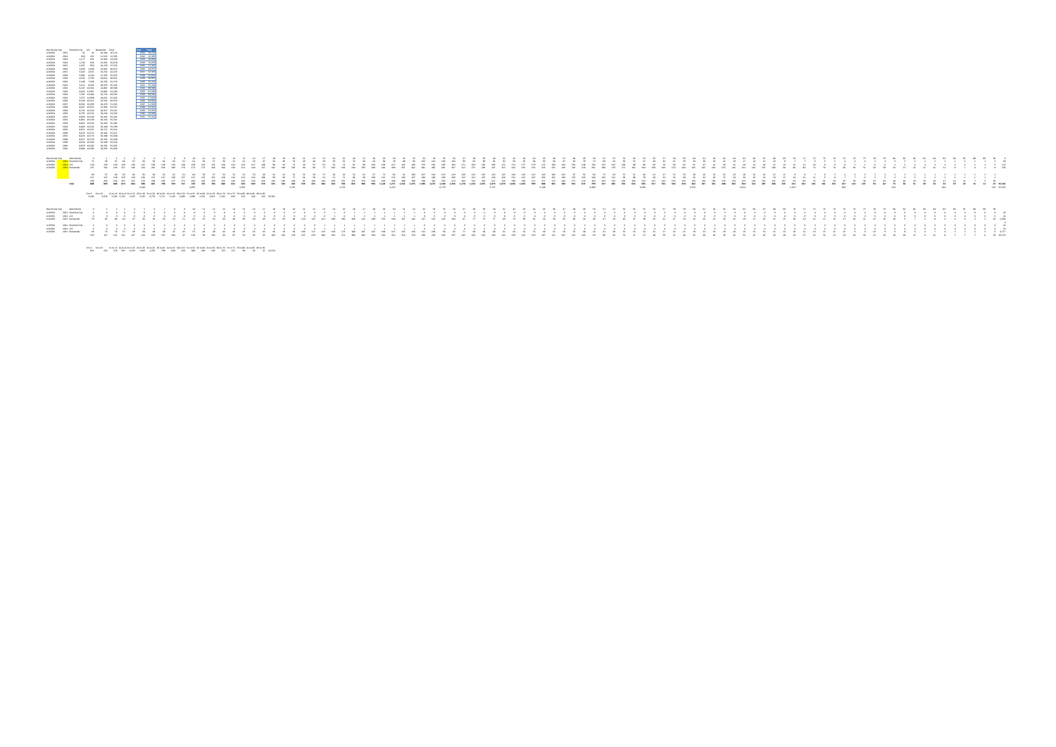| Ward Cods Year Stratford City LCS Remainder Total<br>LLD0654<br>2011<br>LLDC654<br>2012<br>LLD0654<br>2013<br><b>LLDC654</b><br>2014<br>2015<br>LLD0654<br>LLD0654<br>2016<br>LLD0654<br>2017<br>2018<br>LLD0654<br>LLD0654<br>2019<br>LLD0654<br>2020<br>LLD0654<br>2021<br>LLD0654<br>2022<br>LLD0654<br>2023<br>LLD0654<br>2024<br>LLDC654 2025<br>LLD0654<br>2026<br>LLD0654<br>2027<br>LLD0654<br>2028<br>LLDC654 2029<br>LLDC654 2030<br>LLDC654 2031<br>LLDC654<br>2032<br>LLD0654<br>2033<br>LLD0654<br>2034<br>LLDC654 2035<br>LLDC654 2036<br>LLDC654 2037<br>LLDC654 2038<br>LLDC654 2039<br>LLDC654 2040<br>LLDC654 2041 | 618<br>1.736 650 13.291 15.678<br>5.108 7.366 19.796 32.270<br>6.247 10.452 21.887 38.586<br>6.822 11.967 22.801 41.590<br>7.397 13.482 23.716 44.595<br>8.601 16.493 26.470 51.563<br>8.667 16.507 27.393 52.567<br>8.731 16.520 28.317 53.567<br>8.795 16.531 29.240 54.565<br>8.861 16.549 30.150 55.561<br>8.865 16.556 30.160 55.581<br>8.869 16.562 30.168 55.599<br>8.871 16.567 30.175 55.614<br>8.874 16.572 30.182 55.627<br>8.876 16.575 30.188 55.638<br>8.877 16.578 30.193 55.648<br>8.878 16.580 30.198 55.656<br>8.879 16.582 30.202 55.663<br>8.880 16.583 30.205 55.668 | 45 45 10.183 10.274<br>252 11.525 12.395<br>1.177 451 12.403 14.030<br>2.297 850 14.178 17.325<br>2.858 1.049 15.065 18.972<br>3.420 2.651 16.252 22.323<br>3.982 4.220 17.433 25.635<br>4.545 5.792 18.614 28.951<br>5.672 8.941 20.979 35.592<br>7.973 14.998 24.631 47.602<br>8.549 16.515 25.545 50.610<br>8.859 16.540 30.162 55.561                                                                                                                                                                                                                                                                          | Year Total<br>2011 10,274<br>2012 12,395<br>2013 14:030<br>2014 15,678<br>2015 17,325<br>2016 18,972<br>2017 22,323<br>2018 25.635<br>2019 28,951<br>2020 32,270<br>2021 35,592<br>2022 38,586<br>2023 41.590<br>2024 44,595<br>2025 47,602<br>2026 50,610<br>2027 51,563<br>2028 52.567<br>2029 53,567<br>2030 54,565<br>2031 55,561 |  |       |  |       |  |       |  |       |  |       |  |       |  |       |  |       |  |       |  |       |  |       |  |       |  |       |  |     |  |     |  |      |                     |            |
|--------------------------------------------------------------------------------------------------------------------------------------------------------------------------------------------------------------------------------------------------------------------------------------------------------------------------------------------------------------------------------------------------------------------------------------------------------------------------------------------------------------------------------------------------------------------------------------------------------------------------------------|-------------------------------------------------------------------------------------------------------------------------------------------------------------------------------------------------------------------------------------------------------------------------------------------------------------------------------------------------------------------------------------------------------------------------------------------------------------------------------------------------------------------------------------------------------------------------------------------|--------------------------------------------------------------------------------------------------------------------------------------------------------------------------------------------------------------------------------------------------------------------------------------------------------------------------------------------------------------------------------------------------------------------------------------------------------------------------------------------------------------------------------------------------------------------------------------------------------------------|---------------------------------------------------------------------------------------------------------------------------------------------------------------------------------------------------------------------------------------------------------------------------------------------------------------------------------------|--|-------|--|-------|--|-------|--|-------|--|-------|--|-------|--|-------|--|-------|--|-------|--|-------|--|-------|--|-------|--|-------|--|-----|--|-----|--|------|---------------------|------------|
| Ward Cods Year Ward Name<br>LLDO654 2031 Stratford City<br>LLDC655 2031 LCS<br>LLDC656 2031 Remainder                                                                                                                                                                                                                                                                                                                                                                                                                                                                                                                                |                                                                                                                                                                                                                                                                                                                                                                                                                                                                                                                                                                                           | $129 \quad 129 \quad 130 \quad 130 \quad 138 \quad 133 \quad 133 \quad 133 \quad 135 \quad 135 \quad 132 \quad 122 \quad 123 \quad 123 \quad 135 \quad 136 \quad 146 \quad 157 \quad 158 \quad 168 \quad 169 \quad 175 \quad 139 \quad 157 \quad 149 \quad 158 \quad 158 \quad 148 \quad 138 \quad 159 \quad 158 \quad 168 \quad 169 \quad 159 \quad 159 \quad 169 \quad 159 \$<br>237 242 243 237 236 239 233 234 339 279 273 293 55 350 360 37 280 293 294 295 296 396 390 431 432 432 433 442 450 450 243 243 243 253 253 263 293 293 293 293 294 205 395 396 30 30 30 30 35 36 37 38 39 30 30 31 32 33 33 33 3 |                                                                                                                                                                                                                                                                                                                                       |  |       |  |       |  |       |  |       |  |       |  |       |  |       |  |       |  |       |  |       |  |       |  |       |  |       |  |     |  |     |  |      | 85 86 87 88 89 90 0 |            |
|                                                                                                                                                                                                                                                                                                                                                                                                                                                                                                                                                                                                                                      | 127                                                                                                                                                                                                                                                                                                                                                                                                                                                                                                                                                                                       | 256 256 254 247 225 213 224 137 171 156 155 159 155 159 152 154 139 236 230 244 254 264 264 264 264 265 270 281 292 202 202 272 272 28 154 155 165 170 210 313 133 133 134 135 135 135 133 133 133 133 134 134 135 135 135 135                                                                                                                                                                                                                                                                                                                                                                                     | 5.244                                                                                                                                                                                                                                                                                                                                 |  | 3,876 |  | 3.393 |  | 2.701 |  | 2.153 |  | 5.235 |  | 6.779 |  | 5.717 |  | 5.146 |  | 4.480 |  | 3,286 |  | 2.533 |  | 2.012 |  | 1.332 |  | 834 |  | 474 |  | 2.44 |                     | 125 55.561 |
|                                                                                                                                                                                                                                                                                                                                                                                                                                                                                                                                                                                                                                      |                                                                                                                                                                                                                                                                                                                                                                                                                                                                                                                                                                                           | 0 to 5 6 to 10 11 to 15 16 to 2 21 to 25 26 to 30 31 to 35 36 to 40 41 to 45 46 to 50 51 to 55 56 to 60 61 to 65 66 to 70 71 to 75 76 to 80 80 to 85 86 to 90<br>5.244 3.876 3.393 2.701 2.153 5.235 6.779 5.717 5.146 4.480 3.286 2.533 2.012 1.332 834 474 244 125 55.561                                                                                                                                                                                                                                                                                                                                        |                                                                                                                                                                                                                                                                                                                                       |  |       |  |       |  |       |  |       |  |       |  |       |  |       |  |       |  |       |  |       |  |       |  |       |  |       |  |     |  |     |  |      |                     |            |
| Ward Code Year Ward Name<br>LLDO654 2011 Stratford City<br>LLDC655 2011 LCS<br>LLDC656 2011 Remainder                                                                                                                                                                                                                                                                                                                                                                                                                                                                                                                                |                                                                                                                                                                                                                                                                                                                                                                                                                                                                                                                                                                                           |                                                                                                                                                                                                                                                                                                                                                                                                                                                                                                                                                                                                                    |                                                                                                                                                                                                                                                                                                                                       |  |       |  |       |  |       |  |       |  |       |  |       |  |       |  |       |  |       |  |       |  |       |  |       |  |       |  |     |  |     |  |      |                     |            |
| LLDO654 2011 Stratford City<br>LLDC655 2011 LCS<br>LLDO656 2011 Remainder                                                                                                                                                                                                                                                                                                                                                                                                                                                                                                                                                            |                                                                                                                                                                                                                                                                                                                                                                                                                                                                                                                                                                                           |                                                                                                                                                                                                                                                                                                                                                                                                                                                                                                                                                                                                                    |                                                                                                                                                                                                                                                                                                                                       |  |       |  |       |  |       |  |       |  |       |  |       |  |       |  |       |  |       |  |       |  |       |  |       |  |       |  |     |  |     |  |      |                     |            |

0 to 5 6 to 10 = 11 to 15 16 to 2 21 to 25 26 to 30 31 to 35 36 to 40 441 to 45 46 to 50 51 to 65 56 to 50 6 to 50 8 1 50 50 6 1 50 6 6 6 6 6 6 6 70 71 to 75 76 to 80 81 to 85 86 to 90<br>831 = 525 = 476 = 591 = 1.476 = 1.823